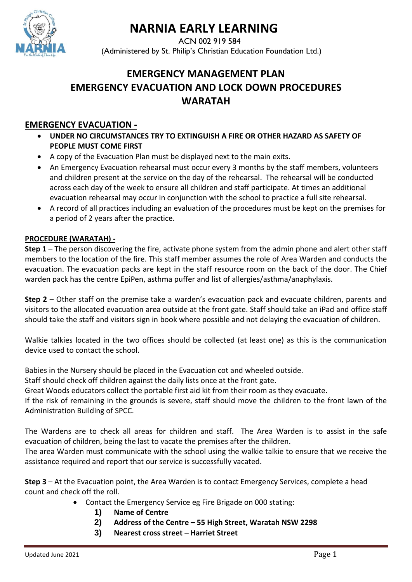

# **NARNIA EARLY LEARNING**

ACN 002 919 584 (Administered by St. Philip's Christian Education Foundation Ltd.)

# **EMERGENCY MANAGEMENT PLAN EMERGENCY EVACUATION AND LOCK DOWN PROCEDURES WARATAH**

# **EMERGENCY EVACUATION -**

- **UNDER NO CIRCUMSTANCES TRY TO EXTINGUISH A FIRE OR OTHER HAZARD AS SAFETY OF PEOPLE MUST COME FIRST**
- A copy of the Evacuation Plan must be displayed next to the main exits.
- An Emergency Evacuation rehearsal must occur every 3 months by the staff members, volunteers and children present at the service on the day of the rehearsal. The rehearsal will be conducted across each day of the week to ensure all children and staff participate. At times an additional evacuation rehearsal may occur in conjunction with the school to practice a full site rehearsal.
- A record of all practices including an evaluation of the procedures must be kept on the premises for a period of 2 years after the practice.

#### **PROCEDURE (WARATAH) -**

**Step 1** – The person discovering the fire, activate phone system from the admin phone and alert other staff members to the location of the fire. This staff member assumes the role of Area Warden and conducts the evacuation. The evacuation packs are kept in the staff resource room on the back of the door. The Chief warden pack has the centre EpiPen, asthma puffer and list of allergies/asthma/anaphylaxis.

**Step 2** – Other staff on the premise take a warden's evacuation pack and evacuate children, parents and visitors to the allocated evacuation area outside at the front gate. Staff should take an iPad and office staff should take the staff and visitors sign in book where possible and not delaying the evacuation of children.

Walkie talkies located in the two offices should be collected (at least one) as this is the communication device used to contact the school.

Babies in the Nursery should be placed in the Evacuation cot and wheeled outside.

Staff should check off children against the daily lists once at the front gate.

Great Woods educators collect the portable first aid kit from their room as they evacuate.

If the risk of remaining in the grounds is severe, staff should move the children to the front lawn of the Administration Building of SPCC.

The Wardens are to check all areas for children and staff. The Area Warden is to assist in the safe evacuation of children, being the last to vacate the premises after the children.

The area Warden must communicate with the school using the walkie talkie to ensure that we receive the assistance required and report that our service is successfully vacated.

**Step 3** – At the Evacuation point, the Area Warden is to contact Emergency Services, complete a head count and check off the roll.

- Contact the Emergency Service eg Fire Brigade on 000 stating:
	- **1) Name of Centre**
	- **2) Address of the Centre – 55 High Street, Waratah NSW 2298**
	- **3) Nearest cross street – Harriet Street**